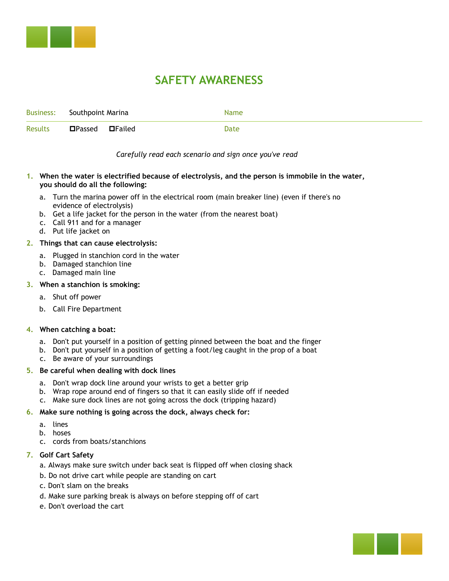

# **SAFETY AWARENESS**

|         | Business: Southpoint Marina | Name |
|---------|-----------------------------|------|
| Results | <b>□Passed</b> □Failed      | Date |

# *Carefully read each scenario and sign once you've read*

## **1. When the water is electrified because of electrolysis, and the person is immobile in the water, you should do all the following:**

- a. Turn the marina power off in the electrical room (main breaker line) (even if there's no evidence of electrolysis)
- b. Get a life jacket for the person in the water (from the nearest boat)
- c. Call 911 and for a manager
- d. Put life jacket on

## **2. Things that can cause electrolysis:**

- a. Plugged in stanchion cord in the water
- b. Damaged stanchion line
- c. Damaged main line

## **3. When a stanchion is smoking:**

- a. Shut off power
- b. Call Fire Department

# **4. When catching a boat:**

- a. Don't put yourself in a position of getting pinned between the boat and the finger
- b. Don't put yourself in a position of getting a foot/leg caught in the prop of a boat
- c. Be aware of your surroundings

#### **5. Be careful when dealing with dock lines**

- a. Don't wrap dock line around your wrists to get a better grip
- b. Wrap rope around end of fingers so that it can easily slide off if needed
- c. Make sure dock lines are not going across the dock (tripping hazard)

#### **6. Make sure nothing is going across the dock, always check for:**

- a. lines
- b. hoses
- c. cords from boats/stanchions

# **7. Golf Cart Safety**

- a. Always make sure switch under back seat is flipped off when closing shack
- b. Do not drive cart while people are standing on cart
- c. Don't slam on the breaks
- d. Make sure parking break is always on before stepping off of cart
- e. Don't overload the cart